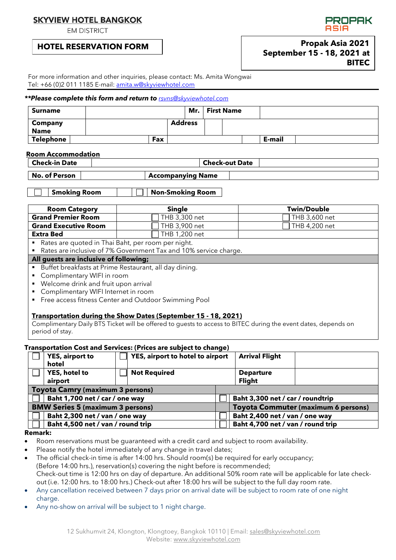# **SKYVIEW HOTEL BANGKOK**

**EM DISTRICT** 

## **HOTEL RESERVATION FORM**



**DODAK** 

For more information and other inquiries, please contact: Ms. Amita Wongwai Tel: +66 (0)2 011 1185 E-mail: [amita.w@skyviewhotel.com](mailto:amita.w@skyviewhotel.com) 

#### *\*\*Please complete this form and return to [rsvns@skyviewhotel.com](mailto:rsvns@skyviewhotel.com)*

| <b>Surname</b>                |     | Mr.            | <b>First Name</b> |        |  |
|-------------------------------|-----|----------------|-------------------|--------|--|
| <b>Company</b><br><b>Name</b> |     | <b>Address</b> |                   |        |  |
| Telephone                     | Fax |                |                   | E-mail |  |

#### **Room Accommodation**

| Check-in Date        | <b>Check-out Date</b>    |  |
|----------------------|--------------------------|--|
| <b>No. of Person</b> | <b>Accompanying Name</b> |  |

**Smoking Room Non-Smoking Room** 

| <b>Room Category</b>                                                   | <b>Single</b>                                                                                                  | <b>Twin/Double</b> |  |  |  |  |  |  |  |  |  |
|------------------------------------------------------------------------|----------------------------------------------------------------------------------------------------------------|--------------------|--|--|--|--|--|--|--|--|--|
| <b>Grand Premier Room</b>                                              | THB 3,300 net                                                                                                  | THB 3,600 net      |  |  |  |  |  |  |  |  |  |
| <b>Grand Executive Room</b>                                            | THB 3,900 net                                                                                                  | THB 4,200 net      |  |  |  |  |  |  |  |  |  |
| <b>Extra Bed</b>                                                       | THB 1,200 net                                                                                                  |                    |  |  |  |  |  |  |  |  |  |
| Rates are quoted in Thai Baht, per room per night.<br>٠                |                                                                                                                |                    |  |  |  |  |  |  |  |  |  |
| Rates are inclusive of 7% Government Tax and 10% service charge.<br>п  |                                                                                                                |                    |  |  |  |  |  |  |  |  |  |
|                                                                        | All guests are inclusive of following;                                                                         |                    |  |  |  |  |  |  |  |  |  |
| Buffet breakfasts at Prime Restaurant, all day dining.<br>٠            |                                                                                                                |                    |  |  |  |  |  |  |  |  |  |
| Complimentary WIFI in room<br>٠                                        |                                                                                                                |                    |  |  |  |  |  |  |  |  |  |
| Welcome drink and fruit upon arrival<br>٠                              |                                                                                                                |                    |  |  |  |  |  |  |  |  |  |
| Complimentary WIFI Internet in room<br>$\blacksquare$                  |                                                                                                                |                    |  |  |  |  |  |  |  |  |  |
| Free access fitness Center and Outdoor Swimming Pool<br>$\blacksquare$ |                                                                                                                |                    |  |  |  |  |  |  |  |  |  |
|                                                                        |                                                                                                                |                    |  |  |  |  |  |  |  |  |  |
| Transportation during the Show Dates (September 15 - 18, 2021)         |                                                                                                                |                    |  |  |  |  |  |  |  |  |  |
|                                                                        | Complimentary Daily RTS Ticket will be offered to quests to access to RITEC during the event dates, depends on |                    |  |  |  |  |  |  |  |  |  |

Complimentary Daily BTS Ticket will be offered to guests to access to BITEC during the event dates, depends on period of stay.

## **Transportation Cost and Services: (Prices are subject to change)**

|                                         | <b>YES, airport to</b>                  | YES, airport to hotel to airport |  | <b>Arrival Flight</b>                      |  |  |  |  |  |  |
|-----------------------------------------|-----------------------------------------|----------------------------------|--|--------------------------------------------|--|--|--|--|--|--|
|                                         | hotel                                   |                                  |  |                                            |  |  |  |  |  |  |
|                                         | YES, hotel to                           | <b>Not Required</b>              |  | <b>Departure</b>                           |  |  |  |  |  |  |
|                                         | airport                                 |                                  |  | <b>Flight</b>                              |  |  |  |  |  |  |
|                                         | <b>Toyota Camry (maximum 3 persons)</b> |                                  |  |                                            |  |  |  |  |  |  |
| Baht 1,700 net / car / one way          |                                         |                                  |  | Baht 3,300 net / car / roundtrip           |  |  |  |  |  |  |
| <b>BMW Series 5 (maximum 3 persons)</b> |                                         |                                  |  | <b>Toyota Commuter (maximum 6 persons)</b> |  |  |  |  |  |  |
|                                         | Baht 2,300 net / van / one way          |                                  |  | Baht 2,400 net / van / one way             |  |  |  |  |  |  |
|                                         | Baht 4,500 net / van / round trip       |                                  |  | Baht 4,700 net / van / round trip          |  |  |  |  |  |  |

### **Remark:**

- Room reservations must be guaranteed with a credit card and subject to room availability.
- Please notify the hotel immediately of any change in travel dates;
- The official check-in time is after 14:00 hrs. Should room(s) be required for early occupancy; (Before 14:00 hrs.), reservation(s) covering the night before is recommended; Check-out time is 12:00 hrs on day of departure. An additional 50% room rate will be applicable for late checkout (i.e. 12:00 hrs. to 18:00 hrs.) Check-out after 18:00 hrs will be subject to the full day room rate.
- Any cancellation received between 7 days prior on arrival date will be subject to room rate of one night charge.
- Any no-show on arrival will be subject to 1 night charge.